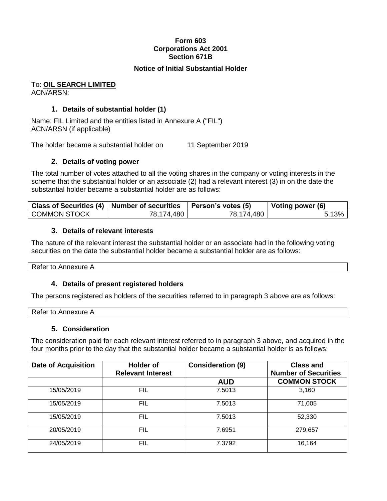# **Form 603 Corporations Act 2001 Section 671B**

### **Notice of Initial Substantial Holder**

#### To: **OIL SEARCH LIMITED** ACN/ARSN:

# **1. Details of substantial holder (1)**

Name: FIL Limited and the entities listed in Annexure A ("FIL") ACN/ARSN (if applicable)

The holder became a substantial holder on 11 September 2019

### **2. Details of voting power**

The total number of votes attached to all the voting shares in the company or voting interests in the scheme that the substantial holder or an associate (2) had a relevant interest (3) in on the date the substantial holder became a substantial holder are as follows:

|                     | Class of Securities (4)   Number of securities   Person's votes (5) |            | Voting power (6) |
|---------------------|---------------------------------------------------------------------|------------|------------------|
| <b>COMMON STOCK</b> | 78,174,480                                                          | 78,174,480 |                  |

### **3. Details of relevant interests**

The nature of the relevant interest the substantial holder or an associate had in the following voting securities on the date the substantial holder became a substantial holder are as follows:

Refer to Annexure A

# **4. Details of present registered holders**

The persons registered as holders of the securities referred to in paragraph 3 above are as follows:

| Refer to<br>⋯<br>. x<br>- |  |  |
|---------------------------|--|--|
|                           |  |  |

### **5. Consideration**

The consideration paid for each relevant interest referred to in paragraph 3 above, and acquired in the four months prior to the day that the substantial holder became a substantial holder is as follows:

| <b>Date of Acquisition</b> | <b>Holder of</b><br><b>Relevant Interest</b> | <b>Consideration (9)</b> | <b>Class and</b><br><b>Number of Securities</b> |
|----------------------------|----------------------------------------------|--------------------------|-------------------------------------------------|
|                            |                                              | <b>AUD</b>               | <b>COMMON STOCK</b>                             |
| 15/05/2019                 | FIL                                          | 7.5013                   | 3,160                                           |
| 15/05/2019                 | FIL                                          | 7.5013                   | 71,005                                          |
| 15/05/2019                 | FIL                                          | 7.5013                   | 52,330                                          |
| 20/05/2019                 | FIL                                          | 7.6951                   | 279,657                                         |
| 24/05/2019                 | FIL                                          | 7.3792                   | 16,164                                          |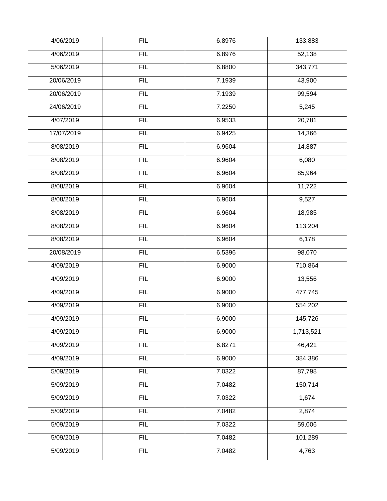| 4/06/2019  | <b>FIL</b> | 6.8976 | 133,883   |
|------------|------------|--------|-----------|
| 4/06/2019  | FIL        | 6.8976 | 52,138    |
| 5/06/2019  | <b>FIL</b> | 6.8800 | 343,771   |
| 20/06/2019 | FIL        | 7.1939 | 43,900    |
| 20/06/2019 | <b>FIL</b> | 7.1939 | 99,594    |
| 24/06/2019 | FIL        | 7.2250 | 5,245     |
| 4/07/2019  | <b>FIL</b> | 6.9533 | 20,781    |
| 17/07/2019 | FIL        | 6.9425 | 14,366    |
| 8/08/2019  | <b>FIL</b> | 6.9604 | 14,887    |
| 8/08/2019  | FIL        | 6.9604 | 6,080     |
| 8/08/2019  | FIL        | 6.9604 | 85,964    |
| 8/08/2019  | FIL        | 6.9604 | 11,722    |
| 8/08/2019  | <b>FIL</b> | 6.9604 | 9,527     |
| 8/08/2019  | FIL        | 6.9604 | 18,985    |
| 8/08/2019  | FIL        | 6.9604 | 113,204   |
| 8/08/2019  | FIL        | 6.9604 | 6,178     |
| 20/08/2019 | <b>FIL</b> | 6.5396 | 98,070    |
| 4/09/2019  | FIL        | 6.9000 | 710,864   |
| 4/09/2019  | FIL        | 6.9000 | 13,556    |
| 4/09/2019  | FIL        | 6.9000 | 477,745   |
| 4/09/2019  | <b>FIL</b> | 6.9000 | 554,202   |
| 4/09/2019  | <b>FIL</b> | 6.9000 | 145,726   |
| 4/09/2019  | FIL        | 6.9000 | 1,713,521 |
| 4/09/2019  | FIL        | 6.8271 | 46,421    |
| 4/09/2019  | FIL        | 6.9000 | 384,386   |
| 5/09/2019  | FIL        | 7.0322 | 87,798    |
| 5/09/2019  | <b>FIL</b> | 7.0482 | 150,714   |
| 5/09/2019  | <b>FIL</b> | 7.0322 | 1,674     |
| 5/09/2019  | FIL        | 7.0482 | 2,874     |
| 5/09/2019  | FIL        | 7.0322 | 59,006    |
| 5/09/2019  | FIL        | 7.0482 | 101,289   |
| 5/09/2019  | <b>FIL</b> | 7.0482 | 4,763     |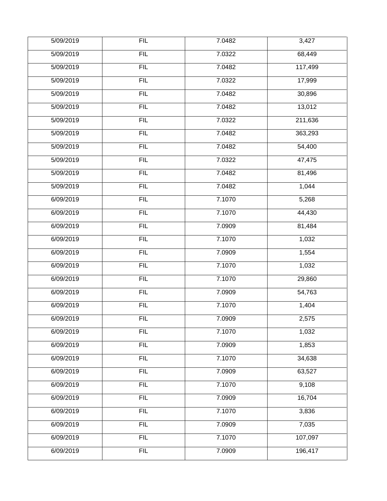| 5/09/2019 | <b>FIL</b> | 7.0482 | 3,427   |
|-----------|------------|--------|---------|
|           |            |        |         |
| 5/09/2019 | FIL        | 7.0322 | 68,449  |
| 5/09/2019 | FIL        | 7.0482 | 117,499 |
| 5/09/2019 | FIL        | 7.0322 | 17,999  |
| 5/09/2019 | <b>FIL</b> | 7.0482 | 30,896  |
| 5/09/2019 | FIL        | 7.0482 | 13,012  |
| 5/09/2019 | <b>FIL</b> | 7.0322 | 211,636 |
| 5/09/2019 | FIL        | 7.0482 | 363,293 |
| 5/09/2019 | <b>FIL</b> | 7.0482 | 54,400  |
| 5/09/2019 | FIL        | 7.0322 | 47,475  |
| 5/09/2019 | FIL        | 7.0482 | 81,496  |
| 5/09/2019 | FIL        | 7.0482 | 1,044   |
| 6/09/2019 | FIL        | 7.1070 | 5,268   |
| 6/09/2019 | FIL        | 7.1070 | 44,430  |
| 6/09/2019 | FIL        | 7.0909 | 81,484  |
| 6/09/2019 | FIL        | 7.1070 | 1,032   |
| 6/09/2019 | <b>FIL</b> | 7.0909 | 1,554   |
| 6/09/2019 | FIL        | 7.1070 | 1,032   |
| 6/09/2019 | FIL        | 7.1070 | 29,860  |
| 6/09/2019 | FIL        | 7.0909 | 54,763  |
| 6/09/2019 | <b>FIL</b> | 7.1070 | 1,404   |
| 6/09/2019 | <b>FIL</b> | 7.0909 | 2,575   |
| 6/09/2019 | FIL        | 7.1070 | 1,032   |
| 6/09/2019 | FIL        | 7.0909 | 1,853   |
| 6/09/2019 | FIL        | 7.1070 | 34,638  |
| 6/09/2019 | FIL        | 7.0909 | 63,527  |
| 6/09/2019 | FIL        | 7.1070 | 9,108   |
| 6/09/2019 | <b>FIL</b> | 7.0909 | 16,704  |
| 6/09/2019 | FIL        | 7.1070 | 3,836   |
| 6/09/2019 | FIL        | 7.0909 | 7,035   |
| 6/09/2019 | FIL        | 7.1070 | 107,097 |
| 6/09/2019 | <b>FIL</b> | 7.0909 | 196,417 |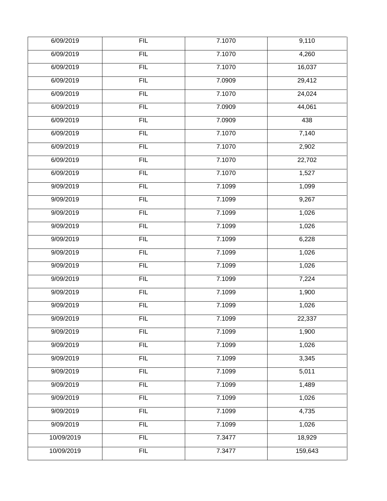| 6/09/2019  | <b>FIL</b> | 7.1070 | 9,110   |
|------------|------------|--------|---------|
| 6/09/2019  | FIL        | 7.1070 | 4,260   |
| 6/09/2019  | FIL        | 7.1070 | 16,037  |
| 6/09/2019  | FIL        | 7.0909 | 29,412  |
| 6/09/2019  | <b>FIL</b> | 7.1070 | 24,024  |
| 6/09/2019  | FIL        | 7.0909 | 44,061  |
| 6/09/2019  | FIL        | 7.0909 | 438     |
| 6/09/2019  | FIL        | 7.1070 | 7,140   |
| 6/09/2019  | <b>FIL</b> | 7.1070 | 2,902   |
| 6/09/2019  | FIL        | 7.1070 | 22,702  |
| 6/09/2019  | FIL        | 7.1070 | 1,527   |
| 9/09/2019  | FIL        | 7.1099 | 1,099   |
| 9/09/2019  | FIL        | 7.1099 | 9,267   |
| 9/09/2019  | FIL        | 7.1099 | 1,026   |
| 9/09/2019  | FIL        | 7.1099 | 1,026   |
| 9/09/2019  | FIL        | 7.1099 | 6,228   |
| 9/09/2019  | FIL        | 7.1099 | 1,026   |
| 9/09/2019  | FIL        | 7.1099 | 1,026   |
| 9/09/2019  | FIL        | 7.1099 | 7,224   |
| 9/09/2019  | FIL        | 7.1099 | 1,900   |
| 9/09/2019  | FIL        | 7.1099 | 1,026   |
| 9/09/2019  | <b>FIL</b> | 7.1099 | 22,337  |
| 9/09/2019  | FIL        | 7.1099 | 1,900   |
| 9/09/2019  | FIL        | 7.1099 | 1,026   |
| 9/09/2019  | FIL        | 7.1099 | 3,345   |
| 9/09/2019  | FIL        | 7.1099 | 5,011   |
| 9/09/2019  | FIL        | 7.1099 | 1,489   |
| 9/09/2019  | FIL        | 7.1099 | 1,026   |
| 9/09/2019  | FIL        | 7.1099 | 4,735   |
| 9/09/2019  | FIL        | 7.1099 | 1,026   |
| 10/09/2019 | FIL        | 7.3477 | 18,929  |
| 10/09/2019 | FIL        | 7.3477 | 159,643 |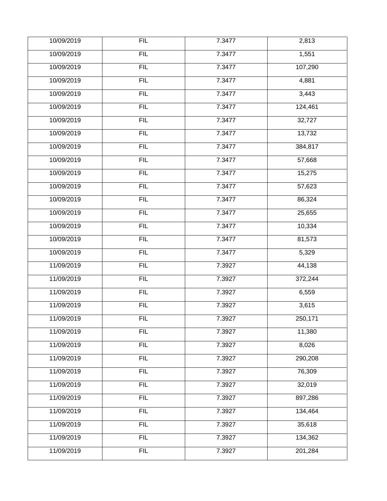| 10/09/2019 | <b>FIL</b> | 7.3477 | 2,813   |
|------------|------------|--------|---------|
| 10/09/2019 | FIL        | 7.3477 | 1,551   |
| 10/09/2019 | FIL        | 7.3477 | 107,290 |
| 10/09/2019 | FIL        | 7.3477 | 4,881   |
| 10/09/2019 | <b>FIL</b> | 7.3477 | 3,443   |
| 10/09/2019 | FIL        | 7.3477 | 124,461 |
| 10/09/2019 | <b>FIL</b> | 7.3477 | 32,727  |
| 10/09/2019 | FIL        | 7.3477 | 13,732  |
| 10/09/2019 | <b>FIL</b> | 7.3477 | 384,817 |
| 10/09/2019 | FIL        | 7.3477 | 57,668  |
| 10/09/2019 | FIL        | 7.3477 | 15,275  |
| 10/09/2019 | FIL        | 7.3477 | 57,623  |
| 10/09/2019 | <b>FIL</b> | 7.3477 | 86,324  |
| 10/09/2019 | FIL        | 7.3477 | 25,655  |
| 10/09/2019 | FIL        | 7.3477 | 10,334  |
| 10/09/2019 | FIL        | 7.3477 | 81,573  |
| 10/09/2019 | FIL        | 7.3477 | 5,329   |
| 11/09/2019 | FIL        | 7.3927 | 44,138  |
| 11/09/2019 | FIL        | 7.3927 | 372,244 |
| 11/09/2019 | FIL        | 7.3927 | 6,559   |
| 11/09/2019 | FIL        | 7.3927 | 3,615   |
| 11/09/2019 | <b>FIL</b> | 7.3927 | 250,171 |
| 11/09/2019 | FIL        | 7.3927 | 11,380  |
| 11/09/2019 | FIL        | 7.3927 | 8,026   |
| 11/09/2019 | FIL        | 7.3927 | 290,208 |
| 11/09/2019 | FIL        | 7.3927 | 76,309  |
| 11/09/2019 | <b>FIL</b> | 7.3927 | 32,019  |
| 11/09/2019 | FIL        | 7.3927 | 897,286 |
| 11/09/2019 | FIL        | 7.3927 | 134,464 |
| 11/09/2019 | FIL        | 7.3927 | 35,618  |
| 11/09/2019 | FIL        | 7.3927 | 134,362 |
| 11/09/2019 | FIL        | 7.3927 | 201,284 |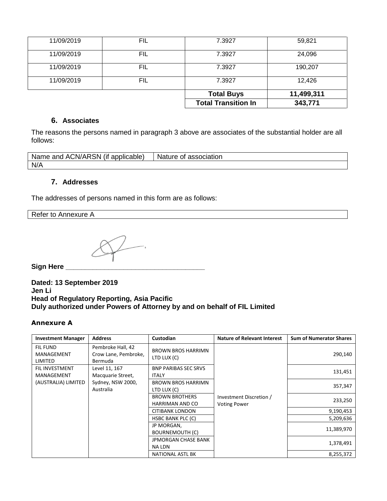| 11/09/2019<br>11/09/2019 | FIL<br>FIL | 7.3927<br>7.3927           | 24,096<br>190,207 |
|--------------------------|------------|----------------------------|-------------------|
| 11/09/2019               | FIL        | 7.3927                     | 12,426            |
|                          |            | <b>Total Buys</b>          | 11,499,311        |
|                          |            | <b>Total Transition In</b> | 343,771           |

### **6. Associates**

The reasons the persons named in paragraph 3 above are associates of the substantial holder are all follows:

| Name and ACN/ARSN (if applicable) | <b>Nature</b><br>of association |
|-----------------------------------|---------------------------------|
| N/A                               |                                 |

# **7. Addresses**

The addresses of persons named in this form are as follows:

Refer to Annexure A

**Sign Here \_\_\_\_\_\_\_\_\_\_\_\_\_\_\_\_\_\_\_\_\_\_\_\_\_\_\_\_\_\_\_\_\_\_\_\_**

**Dated: 13 September 2019 Jen Li Head of Regulatory Reporting, Asia Pacific Duly authorized under Powers of Attorney by and on behalf of FIL Limited**

### **Annexure A**

| <b>Investment Manager</b>                | <b>Address</b>                                       | Custodian                                   | <b>Nature of Relevant Interest</b>             | <b>Sum of Numerator Shares</b> |
|------------------------------------------|------------------------------------------------------|---------------------------------------------|------------------------------------------------|--------------------------------|
| <b>FIL FUND</b><br>MANAGEMENT<br>LIMITED | Pembroke Hall, 42<br>Crow Lane, Pembroke,<br>Bermuda | <b>BROWN BROS HARRIMN</b><br>LTD LUX (C)    |                                                | 290,140                        |
| <b>FIL INVESTMENT</b><br>MANAGEMENT      | Level 11, 167<br>Macquarie Street,                   | <b>BNP PARIBAS SEC SRVS</b><br><b>ITALY</b> |                                                | 131,451                        |
| (AUSTRALIA) LIMITED                      | Sydney, NSW 2000,<br>Australia                       | <b>BROWN BROS HARRIMN</b><br>LTD LUX (C)    |                                                | 357,347                        |
|                                          |                                                      | <b>BROWN BROTHERS</b><br>HARRIMAN AND CO    | Investment Discretion /<br><b>Voting Power</b> | 233,250                        |
|                                          |                                                      | CITIBANK LONDON                             |                                                | 9,190,453                      |
|                                          |                                                      | <b>HSBC BANK PLC (C)</b>                    |                                                | 5,209,636                      |
|                                          |                                                      | JP MORGAN,<br><b>BOURNEMOUTH (C)</b>        |                                                | 11,389,970                     |
|                                          |                                                      | <b>JPMORGAN CHASE BANK</b><br>NA LDN        |                                                | 1,378,491                      |
|                                          |                                                      | NATIONAL ASTL BK                            |                                                | 8,255,372                      |